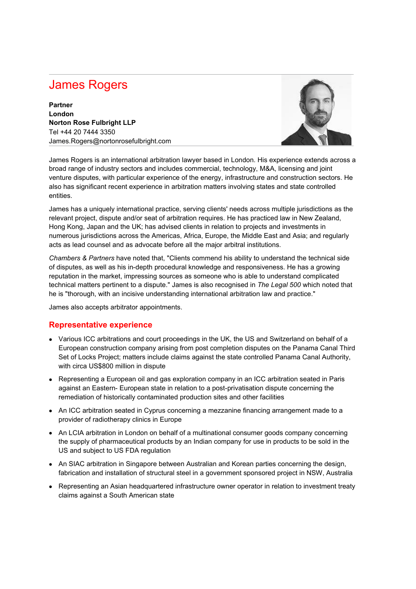## James Rogers

**Partner London Norton Rose Fulbright LLP** Tel +44 20 7444 3350 James.Rogers@nortonrosefulbright.com



James Rogers is an international arbitration lawyer based in London. His experience extends across a broad range of industry sectors and includes commercial, technology, M&A, licensing and joint venture disputes, with particular experience of the energy, infrastructure and construction sectors. He also has significant recent experience in arbitration matters involving states and state controlled entities.

James has a uniquely international practice, serving clients' needs across multiple jurisdictions as the relevant project, dispute and/or seat of arbitration requires. He has practiced law in New Zealand, Hong Kong, Japan and the UK; has advised clients in relation to projects and investments in numerous jurisdictions across the Americas, Africa, Europe, the Middle East and Asia; and regularly acts as lead counsel and as advocate before all the major arbitral institutions.

*Chambers & Partners* have noted that, "Clients commend his ability to understand the technical side of disputes, as well as his in-depth procedural knowledge and responsiveness. He has a growing reputation in the market, impressing sources as someone who is able to understand complicated technical matters pertinent to a dispute." James is also recognised in *The Legal 500* which noted that he is "thorough, with an incisive understanding international arbitration law and practice."

James also accepts arbitrator appointments.

## **Representative experience**

- Various ICC arbitrations and court proceedings in the UK, the US and Switzerland on behalf of a European construction company arising from post completion disputes on the Panama Canal Third Set of Locks Project; matters include claims against the state controlled Panama Canal Authority, with circa US\$800 million in dispute
- Representing a European oil and gas exploration company in an ICC arbitration seated in Paris against an Eastern- European state in relation to a post-privatisation dispute concerning the remediation of historically contaminated production sites and other facilities
- An ICC arbitration seated in Cyprus concerning a mezzanine financing arrangement made to a provider of radiotherapy clinics in Europe
- An LCIA arbitration in London on behalf of a multinational consumer goods company concerning the supply of pharmaceutical products by an Indian company for use in products to be sold in the US and subject to US FDA regulation
- An SIAC arbitration in Singapore between Australian and Korean parties concerning the design, fabrication and installation of structural steel in a government sponsored project in NSW, Australia
- Representing an Asian headquartered infrastructure owner operator in relation to investment treaty claims against a South American state